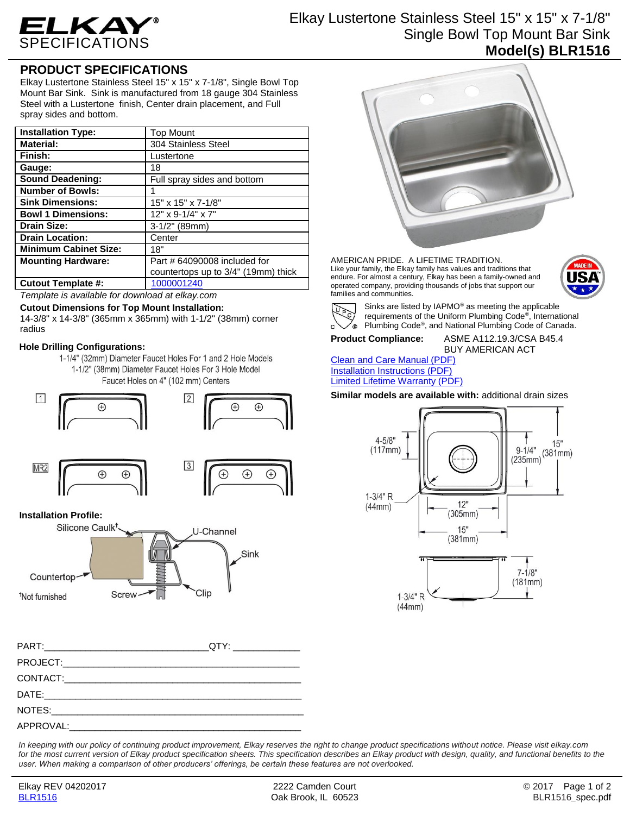

## Elkay Lustertone Stainless Steel 15" x 15" x 7-1/8" Single Bowl Top Mount Bar Sink **Model(s) BLR1516**

## **PRODUCT SPECIFICATIONS**

Elkay Lustertone Stainless Steel 15" x 15" x 7-1/8", Single Bowl Top Mount Bar Sink. Sink is manufactured from 18 gauge 304 Stainless Steel with a Lustertone finish, Center drain placement, and Full spray sides and bottom.

| <b>Installation Type:</b>    | <b>Top Mount</b>                    |
|------------------------------|-------------------------------------|
| <b>Material:</b>             | 304 Stainless Steel                 |
| Finish:                      | Lustertone                          |
| Gauge:                       | 18                                  |
| <b>Sound Deadening:</b>      | Full spray sides and bottom         |
| <b>Number of Bowls:</b>      |                                     |
| <b>Sink Dimensions:</b>      | 15" x 15" x 7-1/8"                  |
| <b>Bowl 1 Dimensions:</b>    | $12" \times 9 - 1/4" \times 7"$     |
| <b>Drain Size:</b>           | $3-1/2"$ (89mm)                     |
| <b>Drain Location:</b>       | Center                              |
| <b>Minimum Cabinet Size:</b> | 18"                                 |
| <b>Mounting Hardware:</b>    | Part # 64090008 included for        |
|                              | countertops up to 3/4" (19mm) thick |
| <b>Cutout Template #:</b>    | 1000001240                          |

*Template is available for download at elkay.com*

#### **Cutout Dimensions for Top Mount Installation:**

14-3/8" x 14-3/8" (365mm x 365mm) with 1-1/2" (38mm) corner radius

#### **Hole Drilling Configurations:**

1-1/4" (32mm) Diameter Faucet Holes For 1 and 2 Hole Models 1-1/2" (38mm) Diameter Faucet Holes For 3 Hole Model Faucet Holes on 4" (102 mm) Centers



#### **Installation Profile:**



| __QTY: ________________ |
|-------------------------|
|                         |
|                         |
|                         |
|                         |
|                         |

*In keeping with our policy of continuing product improvement, Elkay reserves the right to change product specifications without notice. Please visit elkay.com for the most current version of Elkay product specification sheets. This specification describes an Elkay product with design, quality, and functional benefits to the user. When making a comparison of other producers' offerings, be certain these features are not overlooked.*



AMERICAN PRIDE. A LIFETIME TRADITION. Like your family, the Elkay family has values and traditions that endure. For almost a century, Elkay has been a family-owned and operated company, providing thousands of jobs that support our families and communities.





Sinks are listed by IAPMO® as meeting the applicable requirements of the Uniform Plumbing Code® , International Plumbing Code® , and National Plumbing Code of Canada.

## **Product Compliance:** ASME A112.19.3/CSA B45.4

# BUY AMERICAN ACT

[Clean and Care Manual \(PDF\)](http://www.elkay.com/wcsstore/lkdocs/care-cleaning-install-warranty-sheets/residential%20and%20commercial%20care%20%20cleaning.pdf) [Installation Instructions \(PDF\)](http://www.elkay.com/wcsstore/lkdocs/care-cleaning-install-warranty-sheets/74180147.pdf) [Limited Lifetime Warranty](http://www.elkay.com/wcsstore/lkdocs/care-cleaning-install-warranty-sheets/residential%20sinks%20warranty.pdf) (PDF)

**Similar models are available with:** additional drain sizes